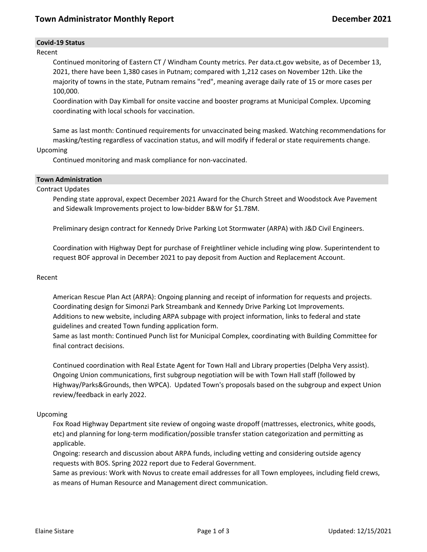# **Covid-19 Status**

### Recent

Continued monitoring of Eastern CT / Windham County metrics. Per data.ct.gov website, as of December 13, 2021, there have been 1,380 cases in Putnam; compared with 1,212 cases on November 12th. Like the majority of towns in the state, Putnam remains "red", meaning average daily rate of 15 or more cases per 100,000.

Coordination with Day Kimball for onsite vaccine and booster programs at Municipal Complex. Upcoming coordinating with local schools for vaccination.

Same as last month: Continued requirements for unvaccinated being masked. Watching recommendations for masking/testing regardless of vaccination status, and will modify if federal or state requirements change.

### Upcoming

Continued monitoring and mask compliance for non-vaccinated.

### **Town Administration**

### Contract Updates

Pending state approval, expect December 2021 Award for the Church Street and Woodstock Ave Pavement and Sidewalk Improvements project to low-bidder B&W for \$1.78M.

Preliminary design contract for Kennedy Drive Parking Lot Stormwater (ARPA) with J&D Civil Engineers.

Coordination with Highway Dept for purchase of Freightliner vehicle including wing plow. Superintendent to request BOF approval in December 2021 to pay deposit from Auction and Replacement Account.

### Recent

American Rescue Plan Act (ARPA): Ongoing planning and receipt of information for requests and projects. Coordinating design for Simonzi Park Streambank and Kennedy Drive Parking Lot Improvements. Additions to new website, including ARPA subpage with project information, links to federal and state guidelines and created Town funding application form.

Same as last month: Continued Punch list for Municipal Complex, coordinating with Building Committee for final contract decisions.

Continued coordination with Real Estate Agent for Town Hall and Library properties (Delpha Very assist). Ongoing Union communications, first subgroup negotiation will be with Town Hall staff (followed by Highway/Parks&Grounds, then WPCA). Updated Town's proposals based on the subgroup and expect Union review/feedback in early 2022.

# Upcoming

Fox Road Highway Department site review of ongoing waste dropoff (mattresses, electronics, white goods, etc) and planning for long-term modification/possible transfer station categorization and permitting as applicable.

Ongoing: research and discussion about ARPA funds, including vetting and considering outside agency requests with BOS. Spring 2022 report due to Federal Government.

Same as previous: Work with Novus to create email addresses for all Town employees, including field crews, as means of Human Resource and Management direct communication.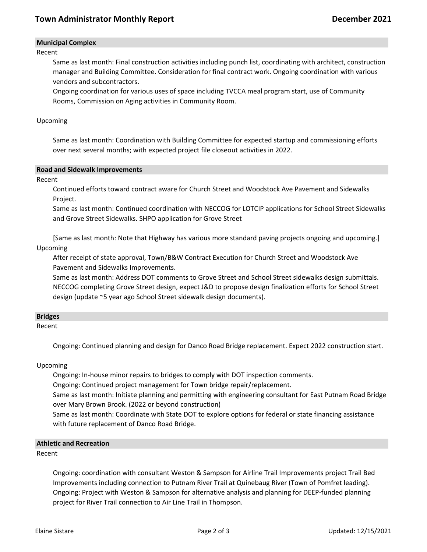# **Town Administrator Monthly Report December 2021**

# **Municipal Complex**

Recent

Same as last month: Final construction activities including punch list, coordinating with architect, construction manager and Building Committee. Consideration for final contract work. Ongoing coordination with various vendors and subcontractors.

Ongoing coordination for various uses of space including TVCCA meal program start, use of Community Rooms, Commission on Aging activities in Community Room.

### Upcoming

Same as last month: Coordination with Building Committee for expected startup and commissioning efforts over next several months; with expected project file closeout activities in 2022.

#### **Road and Sidewalk Improvements**

Recent

Continued efforts toward contract aware for Church Street and Woodstock Ave Pavement and Sidewalks Project.

Same as last month: Continued coordination with NECCOG for LOTCIP applications for School Street Sidewalks and Grove Street Sidewalks. SHPO application for Grove Street

[Same as last month: Note that Highway has various more standard paving projects ongoing and upcoming.] Upcoming

After receipt of state approval, Town/B&W Contract Execution for Church Street and Woodstock Ave Pavement and Sidewalks Improvements.

Same as last month: Address DOT comments to Grove Street and School Street sidewalks design submittals. NECCOG completing Grove Street design, expect J&D to propose design finalization efforts for School Street design (update ~5 year ago School Street sidewalk design documents).

#### **Bridges**

Recent

Ongoing: Continued planning and design for Danco Road Bridge replacement. Expect 2022 construction start.

Upcoming

Ongoing: In-house minor repairs to bridges to comply with DOT inspection comments.

Ongoing: Continued project management for Town bridge repair/replacement.

Same as last month: Initiate planning and permitting with engineering consultant for East Putnam Road Bridge over Mary Brown Brook. (2022 or beyond construction)

Same as last month: Coordinate with State DOT to explore options for federal or state financing assistance with future replacement of Danco Road Bridge.

# **Athletic and Recreation**

Recent

Ongoing: coordination with consultant Weston & Sampson for Airline Trail Improvements project Trail Bed Improvements including connection to Putnam River Trail at Quinebaug River (Town of Pomfret leading). Ongoing: Project with Weston & Sampson for alternative analysis and planning for DEEP-funded planning project for River Trail connection to Air Line Trail in Thompson.